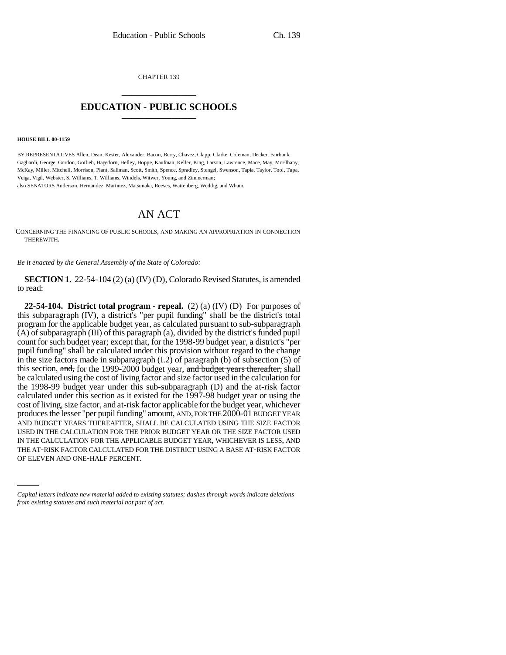CHAPTER 139 \_\_\_\_\_\_\_\_\_\_\_\_\_\_\_

## **EDUCATION - PUBLIC SCHOOLS** \_\_\_\_\_\_\_\_\_\_\_\_\_\_\_

## **HOUSE BILL 00-1159**

BY REPRESENTATIVES Allen, Dean, Kester, Alexander, Bacon, Berry, Chavez, Clapp, Clarke, Coleman, Decker, Fairbank, Gagliardi, George, Gordon, Gotlieb, Hagedorn, Hefley, Hoppe, Kaufman, Keller, King, Larson, Lawrence, Mace, May, McElhany, McKay, Miller, Mitchell, Morrison, Plant, Saliman, Scott, Smith, Spence, Spradley, Stengel, Swenson, Tapia, Taylor, Tool, Tupa, Veiga, Vigil, Webster, S. Williams, T. Williams, Windels, Witwer, Young, and Zimmerman; also SENATORS Anderson, Hernandez, Martinez, Matsunaka, Reeves, Wattenberg, Weddig, and Wham.

## AN ACT

CONCERNING THE FINANCING OF PUBLIC SCHOOLS, AND MAKING AN APPROPRIATION IN CONNECTION THEREWITH.

*Be it enacted by the General Assembly of the State of Colorado:*

**SECTION 1.** 22-54-104 (2) (a) (IV) (D), Colorado Revised Statutes, is amended to read:

IN THE CALCULATION FOR THE APPLICABLE BUDGET YEAR, WHICHEVER IS LESS, AND **22-54-104. District total program - repeal.** (2) (a) (IV) (D) For purposes of this subparagraph (IV), a district's "per pupil funding" shall be the district's total program for the applicable budget year, as calculated pursuant to sub-subparagraph (A) of subparagraph (III) of this paragraph (a), divided by the district's funded pupil count for such budget year; except that, for the 1998-99 budget year, a district's "per pupil funding" shall be calculated under this provision without regard to the change in the size factors made in subparagraph  $(1.2)$  of paragraph  $(b)$  of subsection  $(5)$  of this section, and, for the 1999-2000 budget year, and budget years thereafter, shall be calculated using the cost of living factor and size factor used in the calculation for the 1998-99 budget year under this sub-subparagraph (D) and the at-risk factor calculated under this section as it existed for the 1997-98 budget year or using the cost of living, size factor, and at-risk factor applicable for the budget year, whichever produces the lesser "per pupil funding" amount, AND, FOR THE 2000-01 BUDGET YEAR AND BUDGET YEARS THEREAFTER, SHALL BE CALCULATED USING THE SIZE FACTOR USED IN THE CALCULATION FOR THE PRIOR BUDGET YEAR OR THE SIZE FACTOR USED THE AT-RISK FACTOR CALCULATED FOR THE DISTRICT USING A BASE AT-RISK FACTOR OF ELEVEN AND ONE-HALF PERCENT.

*Capital letters indicate new material added to existing statutes; dashes through words indicate deletions from existing statutes and such material not part of act.*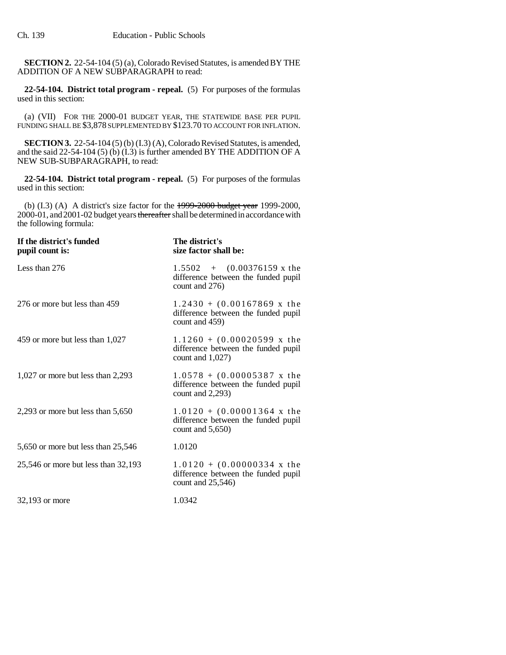**SECTION 2.** 22-54-104 (5) (a), Colorado Revised Statutes, is amended BY THE ADDITION OF A NEW SUBPARAGRAPH to read:

**22-54-104. District total program - repeal.** (5) For purposes of the formulas used in this section:

(a) (VII) FOR THE 2000-01 BUDGET YEAR, THE STATEWIDE BASE PER PUPIL FUNDING SHALL BE \$3,878 SUPPLEMENTED BY \$123.70 TO ACCOUNT FOR INFLATION.

**SECTION 3.** 22-54-104 (5) (b) (I.3) (A), Colorado Revised Statutes, is amended, and the said 22-54-104 (5) (b)  $(1.3)$  is further amended BY THE ADDITION OF A NEW SUB-SUBPARAGRAPH, to read:

**22-54-104. District total program - repeal.** (5) For purposes of the formulas used in this section:

(b)  $(I.3)$  (A) A district's size factor for the  $1999-2000$  budget year 1999-2000, 2000-01, and 2001-02 budget years thereafter shall be determined in accordance with the following formula:

| If the district's funded<br>pupil count is: | The district's<br>size factor shall be:                                                                |
|---------------------------------------------|--------------------------------------------------------------------------------------------------------|
| Less than 276                               | $1.5502 + (0.00376159 \text{ x} \text{ the})$<br>difference between the funded pupil<br>count and 276) |
| 276 or more but less than 459               | $1.2430 + (0.00167869 \text{ x}$ the<br>difference between the funded pupil<br>count and 459)          |
| 459 or more but less than 1,027             | $1.1260 + (0.00020599 \text{ x}$ the<br>difference between the funded pupil<br>count and $1,027$ )     |
| $1,027$ or more but less than 2,293         | $1.0578 + (0.00005387 \text{ x the})$<br>difference between the funded pupil<br>count and $2,293$ )    |
| 2,293 or more but less than $5,650$         | $1.0120 + (0.00001364 \text{ x}$ the<br>difference between the funded pupil<br>count and $5,650$       |
| 5,650 or more but less than 25,546          | 1.0120                                                                                                 |
| 25,546 or more but less than 32,193         | $1.0120 + (0.00000334 \text{ x}$ the<br>difference between the funded pupil<br>count and $25,546$      |
| 32,193 or more                              | 1.0342                                                                                                 |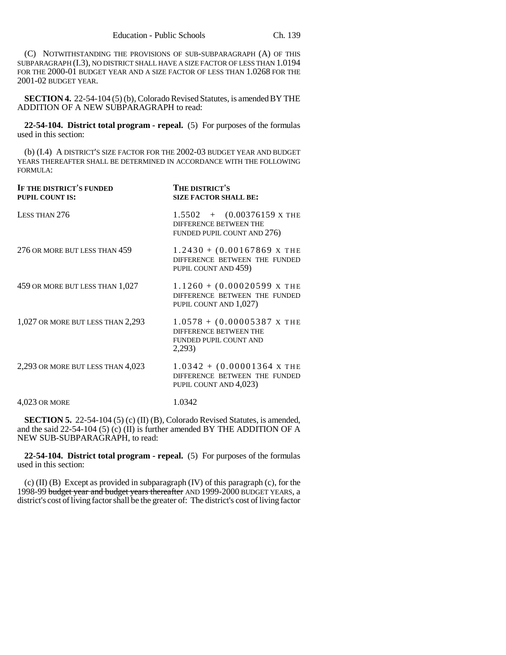(C) NOTWITHSTANDING THE PROVISIONS OF SUB-SUBPARAGRAPH (A) OF THIS SUBPARAGRAPH (I.3), NO DISTRICT SHALL HAVE A SIZE FACTOR OF LESS THAN 1.0194 FOR THE 2000-01 BUDGET YEAR AND A SIZE FACTOR OF LESS THAN 1.0268 FOR THE 2001-02 BUDGET YEAR.

**SECTION 4.** 22-54-104 (5) (b), Colorado Revised Statutes, is amended BY THE ADDITION OF A NEW SUBPARAGRAPH to read:

**22-54-104. District total program - repeal.** (5) For purposes of the formulas used in this section:

(b) (I.4) A DISTRICT'S SIZE FACTOR FOR THE 2002-03 BUDGET YEAR AND BUDGET YEARS THEREAFTER SHALL BE DETERMINED IN ACCORDANCE WITH THE FOLLOWING FORMULA:

| IF THE DISTRICT'S FUNDED<br><b>PUPIL COUNT IS:</b> | THE DISTRICT'S<br><b>SIZE FACTOR SHALL BE:</b>                                                              |
|----------------------------------------------------|-------------------------------------------------------------------------------------------------------------|
| LESS THAN 276                                      | $1.5502 + (0.00376159 \text{ X} \text{ THE})$<br>DIFFERENCE BETWEEN THE<br>FUNDED PUPIL COUNT AND 276)      |
| 276 OR MORE BUT LESS THAN 459                      | $1.2430 + (0.00167869 \text{ X} \text{ THE})$<br>DIFFERENCE BETWEEN THE FUNDED<br>PUPIL COUNT AND 459)      |
| 459 OR MORE BUT LESS THAN 1,027                    | $1.1260 + (0.00020599 \text{ X} \text{ THE})$<br>DIFFERENCE BETWEEN THE FUNDED<br>PUPIL COUNT AND 1,027)    |
| 1,027 OR MORE BUT LESS THAN 2,293                  | $1.0578 + (0.00005387 \text{ X} \text{ THE})$<br>DIFFERENCE BETWEEN THE<br>FUNDED PUPIL COUNT AND<br>2,293) |
| 2,293 OR MORE BUT LESS THAN 4,023                  | $1.0342 + (0.00001364 \text{ X} \text{ THE})$<br>DIFFERENCE BETWEEN THE FUNDED<br>PUPIL COUNT AND 4,023)    |
| 4,023 OR MORE                                      | 1.0342                                                                                                      |

**SECTION 5.** 22-54-104 (5) (c) (II) (B), Colorado Revised Statutes, is amended, and the said 22-54-104 (5) (c) (II) is further amended BY THE ADDITION OF A NEW SUB-SUBPARAGRAPH, to read:

**22-54-104. District total program - repeal.** (5) For purposes of the formulas used in this section:

(c) (II) (B) Except as provided in subparagraph (IV) of this paragraph (c), for the 1998-99 budget year and budget years thereafter AND 1999-2000 BUDGET YEARS, a district's cost of living factor shall be the greater of: The district's cost of living factor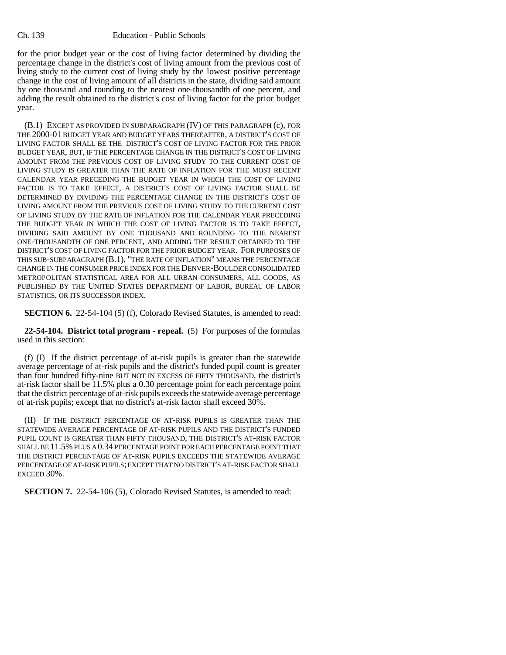for the prior budget year or the cost of living factor determined by dividing the percentage change in the district's cost of living amount from the previous cost of living study to the current cost of living study by the lowest positive percentage change in the cost of living amount of all districts in the state, dividing said amount by one thousand and rounding to the nearest one-thousandth of one percent, and adding the result obtained to the district's cost of living factor for the prior budget year.

(B.1) EXCEPT AS PROVIDED IN SUBPARAGRAPH (IV) OF THIS PARAGRAPH (c), FOR THE 2000-01 BUDGET YEAR AND BUDGET YEARS THEREAFTER, A DISTRICT'S COST OF LIVING FACTOR SHALL BE THE DISTRICT'S COST OF LIVING FACTOR FOR THE PRIOR BUDGET YEAR, BUT, IF THE PERCENTAGE CHANGE IN THE DISTRICT'S COST OF LIVING AMOUNT FROM THE PREVIOUS COST OF LIVING STUDY TO THE CURRENT COST OF LIVING STUDY IS GREATER THAN THE RATE OF INFLATION FOR THE MOST RECENT CALENDAR YEAR PRECEDING THE BUDGET YEAR IN WHICH THE COST OF LIVING FACTOR IS TO TAKE EFFECT, A DISTRICT'S COST OF LIVING FACTOR SHALL BE DETERMINED BY DIVIDING THE PERCENTAGE CHANGE IN THE DISTRICT'S COST OF LIVING AMOUNT FROM THE PREVIOUS COST OF LIVING STUDY TO THE CURRENT COST OF LIVING STUDY BY THE RATE OF INFLATION FOR THE CALENDAR YEAR PRECEDING THE BUDGET YEAR IN WHICH THE COST OF LIVING FACTOR IS TO TAKE EFFECT, DIVIDING SAID AMOUNT BY ONE THOUSAND AND ROUNDING TO THE NEAREST ONE-THOUSANDTH OF ONE PERCENT, AND ADDING THE RESULT OBTAINED TO THE DISTRICT'S COST OF LIVING FACTOR FOR THE PRIOR BUDGET YEAR. FOR PURPOSES OF THIS SUB-SUBPARAGRAPH (B.1), "THE RATE OF INFLATION" MEANS THE PERCENTAGE CHANGE IN THE CONSUMER PRICE INDEX FOR THE DENVER-BOULDER CONSOLIDATED METROPOLITAN STATISTICAL AREA FOR ALL URBAN CONSUMERS, ALL GOODS, AS PUBLISHED BY THE UNITED STATES DEPARTMENT OF LABOR, BUREAU OF LABOR STATISTICS, OR ITS SUCCESSOR INDEX.

**SECTION 6.** 22-54-104 (5) (f), Colorado Revised Statutes, is amended to read:

**22-54-104. District total program - repeal.** (5) For purposes of the formulas used in this section:

(f) (I) If the district percentage of at-risk pupils is greater than the statewide average percentage of at-risk pupils and the district's funded pupil count is greater than four hundred fifty-nine BUT NOT IN EXCESS OF FIFTY THOUSAND, the district's at-risk factor shall be 11.5% plus a 0.30 percentage point for each percentage point that the district percentage of at-risk pupils exceeds the statewide average percentage of at-risk pupils; except that no district's at-risk factor shall exceed 30%.

(II) IF THE DISTRICT PERCENTAGE OF AT-RISK PUPILS IS GREATER THAN THE STATEWIDE AVERAGE PERCENTAGE OF AT-RISK PUPILS AND THE DISTRICT'S FUNDED PUPIL COUNT IS GREATER THAN FIFTY THOUSAND, THE DISTRICT'S AT-RISK FACTOR SHALL BE 11.5% PLUS A 0.34 PERCENTAGE POINT FOR EACH PERCENTAGE POINT THAT THE DISTRICT PERCENTAGE OF AT-RISK PUPILS EXCEEDS THE STATEWIDE AVERAGE PERCENTAGE OF AT-RISK PUPILS; EXCEPT THAT NO DISTRICT'S AT-RISK FACTOR SHALL EXCEED 30%.

**SECTION 7.** 22-54-106 (5), Colorado Revised Statutes, is amended to read: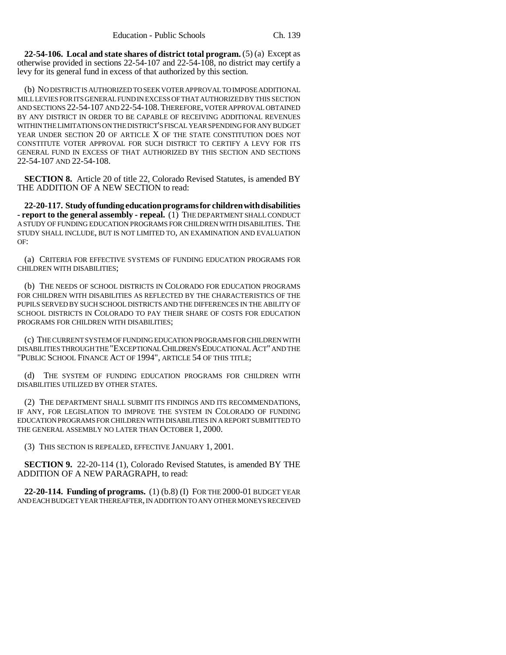**22-54-106. Local and state shares of district total program.** (5) (a) Except as otherwise provided in sections 22-54-107 and 22-54-108, no district may certify a levy for its general fund in excess of that authorized by this section.

(b) NO DISTRICT IS AUTHORIZED TO SEEK VOTER APPROVAL TO IMPOSE ADDITIONAL MILL LEVIES FOR ITS GENERAL FUND IN EXCESS OF THAT AUTHORIZED BY THIS SECTION AND SECTIONS 22-54-107 AND 22-54-108.THEREFORE, VOTER APPROVAL OBTAINED BY ANY DISTRICT IN ORDER TO BE CAPABLE OF RECEIVING ADDITIONAL REVENUES WITHIN THE LIMITATIONS ON THE DISTRICT'S FISCAL YEAR SPENDING FOR ANY BUDGET YEAR UNDER SECTION 20 OF ARTICLE X OF THE STATE CONSTITUTION DOES NOT CONSTITUTE VOTER APPROVAL FOR SUCH DISTRICT TO CERTIFY A LEVY FOR ITS GENERAL FUND IN EXCESS OF THAT AUTHORIZED BY THIS SECTION AND SECTIONS 22-54-107 AND 22-54-108.

**SECTION 8.** Article 20 of title 22, Colorado Revised Statutes, is amended BY THE ADDITION OF A NEW SECTION to read:

**22-20-117. Study of funding education programs for children with disabilities - report to the general assembly - repeal.** (1) THE DEPARTMENT SHALL CONDUCT A STUDY OF FUNDING EDUCATION PROGRAMS FOR CHILDREN WITH DISABILITIES. THE STUDY SHALL INCLUDE, BUT IS NOT LIMITED TO, AN EXAMINATION AND EVALUATION OF:

(a) CRITERIA FOR EFFECTIVE SYSTEMS OF FUNDING EDUCATION PROGRAMS FOR CHILDREN WITH DISABILITIES;

(b) THE NEEDS OF SCHOOL DISTRICTS IN COLORADO FOR EDUCATION PROGRAMS FOR CHILDREN WITH DISABILITIES AS REFLECTED BY THE CHARACTERISTICS OF THE PUPILS SERVED BY SUCH SCHOOL DISTRICTS AND THE DIFFERENCES IN THE ABILITY OF SCHOOL DISTRICTS IN COLORADO TO PAY THEIR SHARE OF COSTS FOR EDUCATION PROGRAMS FOR CHILDREN WITH DISABILITIES;

(c) THE CURRENT SYSTEM OF FUNDING EDUCATION PROGRAMS FOR CHILDREN WITH DISABILITIES THROUGH THE "EXCEPTIONAL CHILDREN'S EDUCATIONAL ACT" AND THE "PUBLIC SCHOOL FINANCE ACT OF 1994", ARTICLE 54 OF THIS TITLE;

(d) THE SYSTEM OF FUNDING EDUCATION PROGRAMS FOR CHILDREN WITH DISABILITIES UTILIZED BY OTHER STATES.

(2) THE DEPARTMENT SHALL SUBMIT ITS FINDINGS AND ITS RECOMMENDATIONS, IF ANY, FOR LEGISLATION TO IMPROVE THE SYSTEM IN COLORADO OF FUNDING EDUCATION PROGRAMS FOR CHILDREN WITH DISABILITIES IN A REPORT SUBMITTED TO THE GENERAL ASSEMBLY NO LATER THAN OCTOBER 1, 2000.

(3) THIS SECTION IS REPEALED, EFFECTIVE JANUARY 1, 2001.

**SECTION 9.** 22-20-114 (1), Colorado Revised Statutes, is amended BY THE ADDITION OF A NEW PARAGRAPH, to read:

**22-20-114. Funding of programs.** (1) (b.8) (I) FOR THE 2000-01 BUDGET YEAR AND EACH BUDGET YEAR THEREAFTER, IN ADDITION TO ANY OTHER MONEYS RECEIVED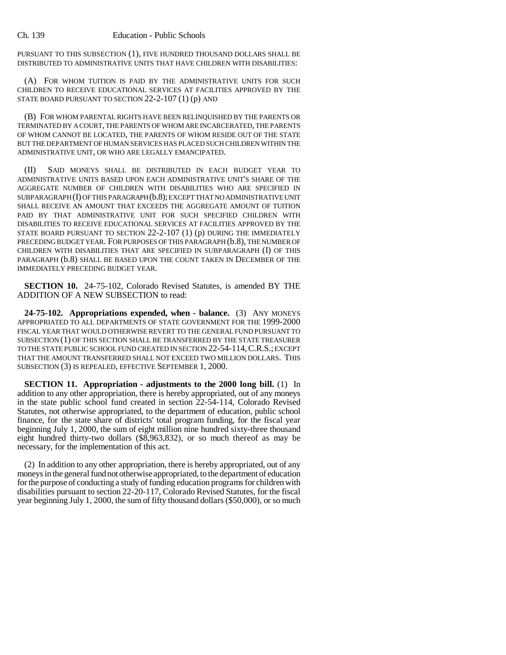PURSUANT TO THIS SUBSECTION (1), FIVE HUNDRED THOUSAND DOLLARS SHALL BE DISTRIBUTED TO ADMINISTRATIVE UNITS THAT HAVE CHILDREN WITH DISABILITIES:

(A) FOR WHOM TUITION IS PAID BY THE ADMINISTRATIVE UNITS FOR SUCH CHILDREN TO RECEIVE EDUCATIONAL SERVICES AT FACILITIES APPROVED BY THE STATE BOARD PURSUANT TO SECTION 22-2-107 (1) (p) AND

(B) FOR WHOM PARENTAL RIGHTS HAVE BEEN RELINQUISHED BY THE PARENTS OR TERMINATED BY A COURT, THE PARENTS OF WHOM ARE INCARCERATED, THE PARENTS OF WHOM CANNOT BE LOCATED, THE PARENTS OF WHOM RESIDE OUT OF THE STATE BUT THE DEPARTMENT OF HUMAN SERVICES HAS PLACED SUCH CHILDREN WITHIN THE ADMINISTRATIVE UNIT, OR WHO ARE LEGALLY EMANCIPATED.

(II) SAID MONEYS SHALL BE DISTRIBUTED IN EACH BUDGET YEAR TO ADMINISTRATIVE UNITS BASED UPON EACH ADMINISTRATIVE UNIT'S SHARE OF THE AGGREGATE NUMBER OF CHILDREN WITH DISABILITIES WHO ARE SPECIFIED IN SUBPARAGRAPH (I) OF THIS PARAGRAPH (b.8); EXCEPT THAT NO ADMINISTRATIVE UNIT SHALL RECEIVE AN AMOUNT THAT EXCEEDS THE AGGREGATE AMOUNT OF TUITION PAID BY THAT ADMINISTRATIVE UNIT FOR SUCH SPECIFIED CHILDREN WITH DISABILITIES TO RECEIVE EDUCATIONAL SERVICES AT FACILITIES APPROVED BY THE STATE BOARD PURSUANT TO SECTION 22-2-107 (1) (p) DURING THE IMMEDIATELY PRECEDING BUDGET YEAR. FOR PURPOSES OF THIS PARAGRAPH (b.8), THE NUMBER OF CHILDREN WITH DISABILITIES THAT ARE SPECIFIED IN SUBPARAGRAPH (I) OF THIS PARAGRAPH (b.8) SHALL BE BASED UPON THE COUNT TAKEN IN DECEMBER OF THE IMMEDIATELY PRECEDING BUDGET YEAR.

**SECTION 10.** 24-75-102, Colorado Revised Statutes, is amended BY THE ADDITION OF A NEW SUBSECTION to read:

**24-75-102. Appropriations expended, when - balance.** (3) ANY MONEYS APPROPRIATED TO ALL DEPARTMENTS OF STATE GOVERNMENT FOR THE 1999-2000 FISCAL YEAR THAT WOULD OTHERWISE REVERT TO THE GENERAL FUND PURSUANT TO SUBSECTION (1) OF THIS SECTION SHALL BE TRANSFERRED BY THE STATE TREASURER TO THE STATE PUBLIC SCHOOL FUND CREATED IN SECTION 22-54-114,C.R.S.; EXCEPT THAT THE AMOUNT TRANSFERRED SHALL NOT EXCEED TWO MILLION DOLLARS. THIS SUBSECTION (3) IS REPEALED, EFFECTIVE SEPTEMBER 1, 2000.

**SECTION 11. Appropriation - adjustments to the 2000 long bill.** (1) In addition to any other appropriation, there is hereby appropriated, out of any moneys in the state public school fund created in section 22-54-114, Colorado Revised Statutes, not otherwise appropriated, to the department of education, public school finance, for the state share of districts' total program funding, for the fiscal year beginning July 1, 2000, the sum of eight million nine hundred sixty-three thousand eight hundred thirty-two dollars (\$8,963,832), or so much thereof as may be necessary, for the implementation of this act.

(2) In addition to any other appropriation, there is hereby appropriated, out of any moneys in the general fund not otherwise appropriated, to the department of education for the purpose of conducting a study of funding education programs for children with disabilities pursuant to section 22-20-117, Colorado Revised Statutes, for the fiscal year beginning July 1, 2000, the sum of fifty thousand dollars (\$50,000), or so much